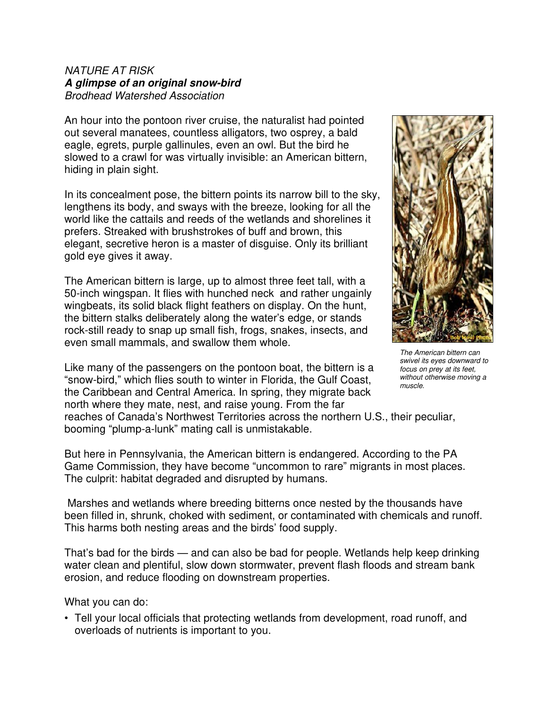## NATURE AT RISK **A glimpse of an original snow-bird** Brodhead Watershed Association

An hour into the pontoon river cruise, the naturalist had pointed out several manatees, countless alligators, two osprey, a bald eagle, egrets, purple gallinules, even an owl. But the bird he slowed to a crawl for was virtually invisible: an American bittern, hiding in plain sight.

In its concealment pose, the bittern points its narrow bill to the sky, lengthens its body, and sways with the breeze, looking for all the world like the cattails and reeds of the wetlands and shorelines it prefers. Streaked with brushstrokes of buff and brown, this elegant, secretive heron is a master of disguise. Only its brilliant gold eye gives it away.

The American bittern is large, up to almost three feet tall, with a 50-inch wingspan. It flies with hunched neck and rather ungainly wingbeats, its solid black flight feathers on display. On the hunt, the bittern stalks deliberately along the water's edge, or stands rock-still ready to snap up small fish, frogs, snakes, insects, and even small mammals, and swallow them whole.

Like many of the passengers on the pontoon boat, the bittern is a "snow-bird," which flies south to winter in Florida, the Gulf Coast, the Caribbean and Central America. In spring, they migrate back north where they mate, nest, and raise young. From the far reaches of Canada's Northwest Territories across the northern U.S., their peculiar, booming "plump-a-lunk" mating call is unmistakable. muscle.

But here in Pennsylvania, the American bittern is endangered. According to the PA Game Commission, they have become "uncommon to rare" migrants in most places. The culprit: habitat degraded and disrupted by humans.

 Marshes and wetlands where breeding bitterns once nested by the thousands have been filled in, shrunk, choked with sediment, or contaminated with chemicals and runoff. This harms both nesting areas and the birds' food supply.

That's bad for the birds — and can also be bad for people. Wetlands help keep drinking water clean and plentiful, slow down stormwater, prevent flash floods and stream bank erosion, and reduce flooding on downstream properties.

What you can do:

• Tell your local officials that protecting wetlands from development, road runoff, and overloads of nutrients is important to you.



The American bittern can swivel its eyes downward to focus on prey at its feet, without otherwise moving a